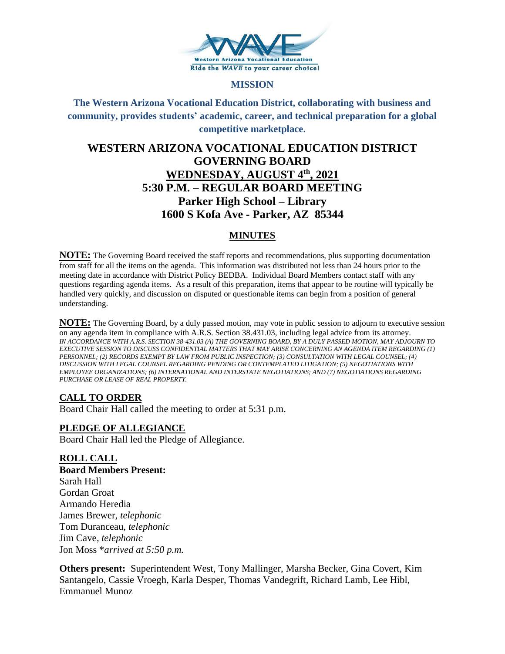

#### **MISSION**

**The Western Arizona Vocational Education District, collaborating with business and community, provides students' academic, career, and technical preparation for a global competitive marketplace.**

# **WESTERN ARIZONA VOCATIONAL EDUCATION DISTRICT GOVERNING BOARD WEDNESDAY, AUGUST 4th, 2021 5:30 P.M. – REGULAR BOARD MEETING Parker High School – Library 1600 S Kofa Ave - Parker, AZ 85344**

# **MINUTES**

**NOTE:** The Governing Board received the staff reports and recommendations, plus supporting documentation from staff for all the items on the agenda. This information was distributed not less than 24 hours prior to the meeting date in accordance with District Policy BEDBA. Individual Board Members contact staff with any questions regarding agenda items. As a result of this preparation, items that appear to be routine will typically be handled very quickly, and discussion on disputed or questionable items can begin from a position of general understanding.

**NOTE:** The Governing Board, by a duly passed motion, may vote in public session to adjourn to executive session on any agenda item in compliance with A.R.S. Section 38.431.03, including legal advice from its attorney. *IN ACCORDANCE WITH A.R.S. SECTION 38-431.03 (A) THE GOVERNING BOARD, BY A DULY PASSED MOTION, MAY ADJOURN TO EXECUTIVE SESSION TO DISCUSS CONFIDENTIAL MATTERS THAT MAY ARISE CONCERNING AN AGENDA ITEM REGARDING (1) PERSONNEL; (2) RECORDS EXEMPT BY LAW FROM PUBLIC INSPECTION; (3) CONSULTATION WITH LEGAL COUNSEL; (4) DISCUSSION WITH LEGAL COUNSEL REGARDING PENDING OR CONTEMPLATED LITIGATION; (5) NEGOTIATIONS WITH EMPLOYEE ORGANIZATIONS; (6) INTERNATIONAL AND INTERSTATE NEGOTIATIONS; AND (7) NEGOTIATIONS REGARDING PURCHASE OR LEASE OF REAL PROPERTY.*

# **CALL TO ORDER**

Board Chair Hall called the meeting to order at 5:31 p.m.

# **PLEDGE OF ALLEGIANCE**

Board Chair Hall led the Pledge of Allegiance.

# **ROLL CALL**

**Board Members Present:** Sarah Hall Gordan Groat Armando Heredia James Brewer, *telephonic* Tom Duranceau, *telephonic* Jim Cave*, telephonic* Jon Moss \**arrived at 5:50 p.m.*

**Others present:** Superintendent West, Tony Mallinger, Marsha Becker, Gina Covert, Kim Santangelo, Cassie Vroegh, Karla Desper, Thomas Vandegrift, Richard Lamb, Lee Hibl, Emmanuel Munoz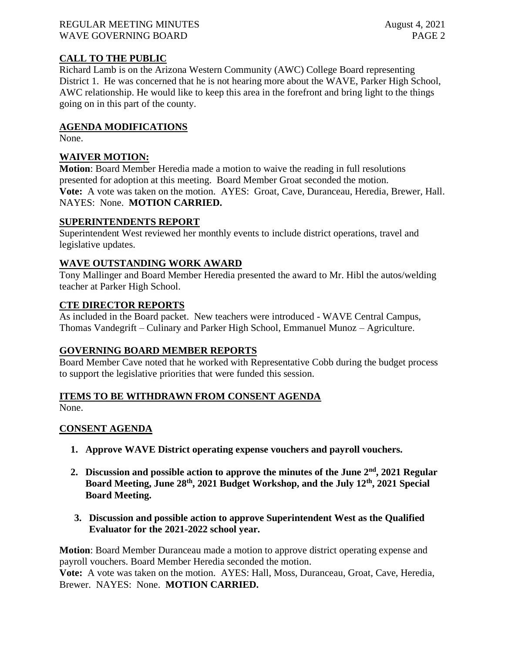#### REGULAR MEETING MINUTES August 4, 2021 WAVE GOVERNING BOARD **PAGE 2**

# **CALL TO THE PUBLIC**

Richard Lamb is on the Arizona Western Community (AWC) College Board representing District 1. He was concerned that he is not hearing more about the WAVE, Parker High School, AWC relationship. He would like to keep this area in the forefront and bring light to the things going on in this part of the county.

#### **AGENDA MODIFICATIONS**

None.

# **WAIVER MOTION:**

**Motion**: Board Member Heredia made a motion to waive the reading in full resolutions presented for adoption at this meeting. Board Member Groat seconded the motion. **Vote:** A vote was taken on the motion. AYES: Groat, Cave, Duranceau, Heredia, Brewer, Hall. NAYES: None. **MOTION CARRIED.**

#### **SUPERINTENDENTS REPORT**

Superintendent West reviewed her monthly events to include district operations, travel and legislative updates.

#### **WAVE OUTSTANDING WORK AWARD**

Tony Mallinger and Board Member Heredia presented the award to Mr. Hibl the autos/welding teacher at Parker High School.

#### **CTE DIRECTOR REPORTS**

As included in the Board packet. New teachers were introduced - WAVE Central Campus, Thomas Vandegrift – Culinary and Parker High School, Emmanuel Munoz – Agriculture.

# **GOVERNING BOARD MEMBER REPORTS**

Board Member Cave noted that he worked with Representative Cobb during the budget process to support the legislative priorities that were funded this session.

#### **ITEMS TO BE WITHDRAWN FROM CONSENT AGENDA**

None.

# **CONSENT AGENDA**

- **1. Approve WAVE District operating expense vouchers and payroll vouchers.**
- **2. Discussion and possible action to approve the minutes of the June 2nd, 2021 Regular Board Meeting, June 28th, 2021 Budget Workshop, and the July 12th, 2021 Special Board Meeting.**
- **3. Discussion and possible action to approve Superintendent West as the Qualified Evaluator for the 2021-2022 school year.**

**Motion**: Board Member Duranceau made a motion to approve district operating expense and payroll vouchers. Board Member Heredia seconded the motion.

**Vote:** A vote was taken on the motion. AYES: Hall, Moss, Duranceau, Groat, Cave, Heredia, Brewer. NAYES: None. **MOTION CARRIED.**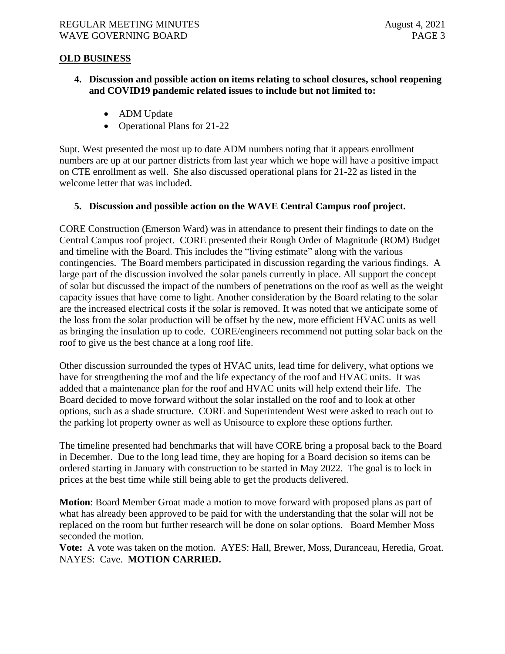#### **OLD BUSINESS**

- **4. Discussion and possible action on items relating to school closures, school reopening and COVID19 pandemic related issues to include but not limited to:**
	- ADM Update
	- Operational Plans for 21-22

Supt. West presented the most up to date ADM numbers noting that it appears enrollment numbers are up at our partner districts from last year which we hope will have a positive impact on CTE enrollment as well. She also discussed operational plans for 21-22 as listed in the welcome letter that was included.

#### **5. Discussion and possible action on the WAVE Central Campus roof project.**

CORE Construction (Emerson Ward) was in attendance to present their findings to date on the Central Campus roof project. CORE presented their Rough Order of Magnitude (ROM) Budget and timeline with the Board. This includes the "living estimate" along with the various contingencies. The Board members participated in discussion regarding the various findings. A large part of the discussion involved the solar panels currently in place. All support the concept of solar but discussed the impact of the numbers of penetrations on the roof as well as the weight capacity issues that have come to light. Another consideration by the Board relating to the solar are the increased electrical costs if the solar is removed. It was noted that we anticipate some of the loss from the solar production will be offset by the new, more efficient HVAC units as well as bringing the insulation up to code. CORE/engineers recommend not putting solar back on the roof to give us the best chance at a long roof life.

Other discussion surrounded the types of HVAC units, lead time for delivery, what options we have for strengthening the roof and the life expectancy of the roof and HVAC units. It was added that a maintenance plan for the roof and HVAC units will help extend their life. The Board decided to move forward without the solar installed on the roof and to look at other options, such as a shade structure. CORE and Superintendent West were asked to reach out to the parking lot property owner as well as Unisource to explore these options further.

The timeline presented had benchmarks that will have CORE bring a proposal back to the Board in December. Due to the long lead time, they are hoping for a Board decision so items can be ordered starting in January with construction to be started in May 2022. The goal is to lock in prices at the best time while still being able to get the products delivered.

**Motion**: Board Member Groat made a motion to move forward with proposed plans as part of what has already been approved to be paid for with the understanding that the solar will not be replaced on the room but further research will be done on solar options. Board Member Moss seconded the motion.

**Vote:** A vote was taken on the motion. AYES: Hall, Brewer, Moss, Duranceau, Heredia, Groat. NAYES: Cave. **MOTION CARRIED.**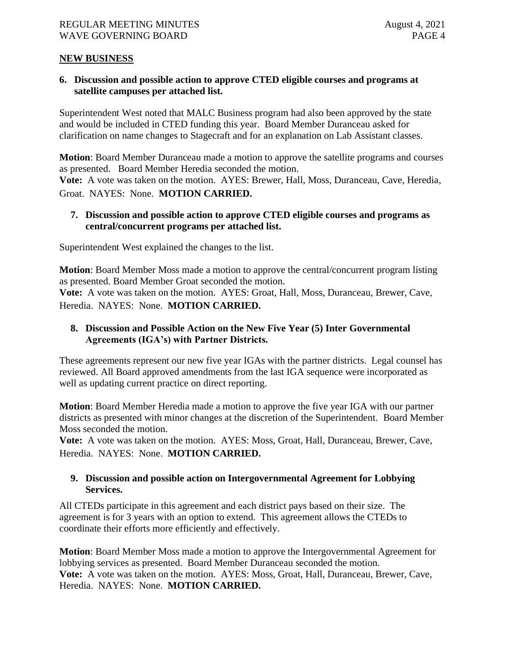#### **NEW BUSINESS**

**6. Discussion and possible action to approve CTED eligible courses and programs at satellite campuses per attached list.** 

Superintendent West noted that MALC Business program had also been approved by the state and would be included in CTED funding this year. Board Member Duranceau asked for clarification on name changes to Stagecraft and for an explanation on Lab Assistant classes.

**Motion**: Board Member Duranceau made a motion to approve the satellite programs and courses as presented. Board Member Heredia seconded the motion. **Vote:** A vote was taken on the motion. AYES: Brewer, Hall, Moss, Duranceau, Cave, Heredia, Groat. NAYES: None. **MOTION CARRIED.**

#### **7. Discussion and possible action to approve CTED eligible courses and programs as central/concurrent programs per attached list.**

Superintendent West explained the changes to the list.

**Motion**: Board Member Moss made a motion to approve the central/concurrent program listing as presented. Board Member Groat seconded the motion. **Vote:** A vote was taken on the motion. AYES: Groat, Hall, Moss, Duranceau, Brewer, Cave,

Heredia. NAYES: None. **MOTION CARRIED.**

# **8. Discussion and Possible Action on the New Five Year (5) Inter Governmental Agreements (IGA's) with Partner Districts.**

These agreements represent our new five year IGAs with the partner districts. Legal counsel has reviewed. All Board approved amendments from the last IGA sequence were incorporated as well as updating current practice on direct reporting.

**Motion**: Board Member Heredia made a motion to approve the five year IGA with our partner districts as presented with minor changes at the discretion of the Superintendent. Board Member Moss seconded the motion.

**Vote:** A vote was taken on the motion. AYES: Moss, Groat, Hall, Duranceau, Brewer, Cave, Heredia. NAYES: None. **MOTION CARRIED.**

# **9. Discussion and possible action on Intergovernmental Agreement for Lobbying Services.**

All CTEDs participate in this agreement and each district pays based on their size. The agreement is for 3 years with an option to extend. This agreement allows the CTEDs to coordinate their efforts more efficiently and effectively.

**Motion**: Board Member Moss made a motion to approve the Intergovernmental Agreement for lobbying services as presented. Board Member Duranceau seconded the motion. **Vote:** A vote was taken on the motion. AYES: Moss, Groat, Hall, Duranceau, Brewer, Cave, Heredia. NAYES: None. **MOTION CARRIED.**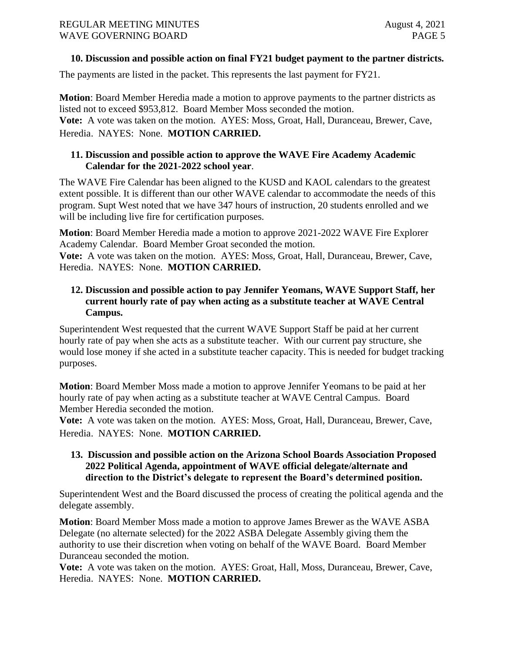#### **10. Discussion and possible action on final FY21 budget payment to the partner districts.**

The payments are listed in the packet. This represents the last payment for FY21.

**Motion**: Board Member Heredia made a motion to approve payments to the partner districts as listed not to exceed \$953,812. Board Member Moss seconded the motion. **Vote:** A vote was taken on the motion. AYES: Moss, Groat, Hall, Duranceau, Brewer, Cave, Heredia. NAYES: None. **MOTION CARRIED.**

#### **11. Discussion and possible action to approve the WAVE Fire Academy Academic Calendar for the 2021-2022 school year**.

The WAVE Fire Calendar has been aligned to the KUSD and KAOL calendars to the greatest extent possible. It is different than our other WAVE calendar to accommodate the needs of this program. Supt West noted that we have 347 hours of instruction, 20 students enrolled and we will be including live fire for certification purposes.

**Motion**: Board Member Heredia made a motion to approve 2021-2022 WAVE Fire Explorer Academy Calendar. Board Member Groat seconded the motion.

**Vote:** A vote was taken on the motion. AYES: Moss, Groat, Hall, Duranceau, Brewer, Cave, Heredia. NAYES: None. **MOTION CARRIED.**

# **12. Discussion and possible action to pay Jennifer Yeomans, WAVE Support Staff, her current hourly rate of pay when acting as a substitute teacher at WAVE Central Campus.**

Superintendent West requested that the current WAVE Support Staff be paid at her current hourly rate of pay when she acts as a substitute teacher. With our current pay structure, she would lose money if she acted in a substitute teacher capacity. This is needed for budget tracking purposes.

**Motion**: Board Member Moss made a motion to approve Jennifer Yeomans to be paid at her hourly rate of pay when acting as a substitute teacher at WAVE Central Campus. Board Member Heredia seconded the motion.

**Vote:** A vote was taken on the motion. AYES: Moss, Groat, Hall, Duranceau, Brewer, Cave, Heredia. NAYES: None. **MOTION CARRIED.**

#### **13. Discussion and possible action on the Arizona School Boards Association Proposed 2022 Political Agenda, appointment of WAVE official delegate/alternate and direction to the District's delegate to represent the Board's determined position.**

Superintendent West and the Board discussed the process of creating the political agenda and the delegate assembly.

**Motion**: Board Member Moss made a motion to approve James Brewer as the WAVE ASBA Delegate (no alternate selected) for the 2022 ASBA Delegate Assembly giving them the authority to use their discretion when voting on behalf of the WAVE Board. Board Member Duranceau seconded the motion.

**Vote:** A vote was taken on the motion. AYES: Groat, Hall, Moss, Duranceau, Brewer, Cave, Heredia. NAYES: None. **MOTION CARRIED.**